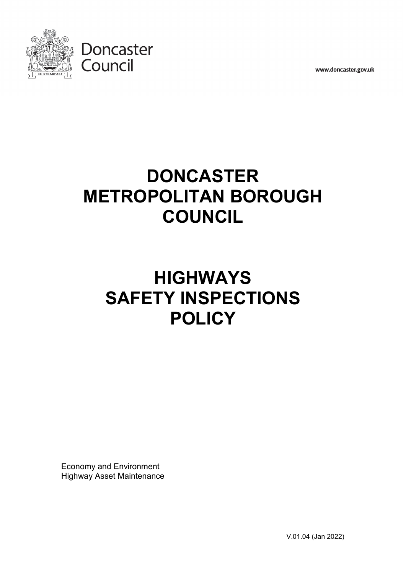

www.doncaster.gov.uk

# **DONCASTER METROPOLITAN BOROUGH COUNCIL**

# **HIGHWAYS SAFETY INSPECTIONS POLICY**

Economy and Environment Highway Asset Maintenance

V.01.04 (Jan 2022)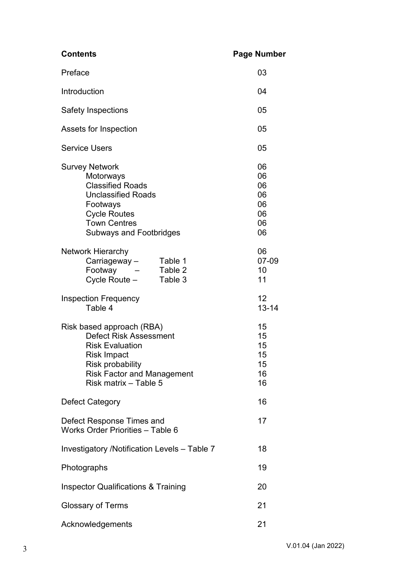| <b>Contents</b>                                                                                                                                                                              | <b>Page Number</b>                           |  |
|----------------------------------------------------------------------------------------------------------------------------------------------------------------------------------------------|----------------------------------------------|--|
| Preface                                                                                                                                                                                      | 03                                           |  |
| Introduction                                                                                                                                                                                 | 04                                           |  |
| <b>Safety Inspections</b>                                                                                                                                                                    | 05                                           |  |
| Assets for Inspection                                                                                                                                                                        | 05                                           |  |
| <b>Service Users</b>                                                                                                                                                                         | 05                                           |  |
| <b>Survey Network</b><br>Motorways<br><b>Classified Roads</b><br><b>Unclassified Roads</b><br>Footways<br><b>Cycle Routes</b><br><b>Town Centres</b><br><b>Subways and Footbridges</b>       | 06<br>06<br>06<br>06<br>06<br>06<br>06<br>06 |  |
| <b>Network Hierarchy</b><br>Carriageway-<br>Table 1<br>Footway<br>Table 2<br>Cycle Route -<br>Table 3                                                                                        | 06<br>07-09<br>10<br>11                      |  |
| <b>Inspection Frequency</b><br>Table 4                                                                                                                                                       | 12<br>$13 - 14$                              |  |
| Risk based approach (RBA)<br>Defect Risk Assessment<br><b>Risk Evaluation</b><br><b>Risk Impact</b><br><b>Risk probability</b><br><b>Risk Factor and Management</b><br>Risk matrix - Table 5 | 15<br>15<br>15<br>15<br>15<br>16<br>16       |  |
| <b>Defect Category</b>                                                                                                                                                                       | 16                                           |  |
| Defect Response Times and<br>Works Order Priorities - Table 6                                                                                                                                | 17                                           |  |
| 18<br>Investigatory /Notification Levels - Table 7                                                                                                                                           |                                              |  |
| 19<br>Photographs                                                                                                                                                                            |                                              |  |
| <b>Inspector Qualifications &amp; Training</b><br>20                                                                                                                                         |                                              |  |
| 21<br><b>Glossary of Terms</b>                                                                                                                                                               |                                              |  |
| Acknowledgements                                                                                                                                                                             | 21                                           |  |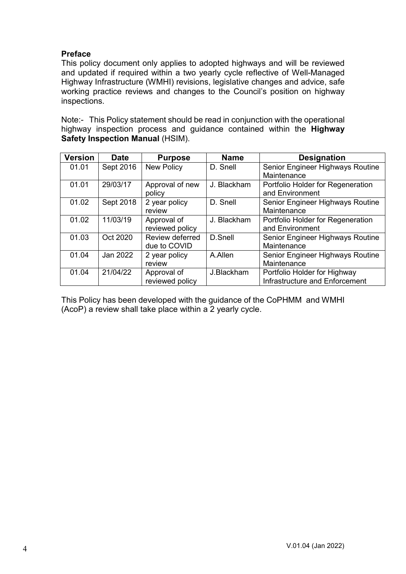# **Preface**

This policy document only applies to adopted highways and will be reviewed and updated if required within a two yearly cycle reflective of Well-Managed Highway Infrastructure (WMHI) revisions, legislative changes and advice, safe working practice reviews and changes to the Council's position on highway inspections.

Note:- This Policy statement should be read in conjunction with the operational highway inspection process and guidance contained within the **Highway Safety Inspection Manual** (HSIM).

| <b>Version</b> | <b>Date</b> | <b>Purpose</b>    | <b>Name</b> | <b>Designation</b>                |
|----------------|-------------|-------------------|-------------|-----------------------------------|
| 01.01          | Sept 2016   | <b>New Policy</b> | D. Snell    | Senior Engineer Highways Routine  |
|                |             |                   |             | Maintenance                       |
| 01.01          | 29/03/17    | Approval of new   | J. Blackham | Portfolio Holder for Regeneration |
|                |             | policy            |             | and Environment                   |
| 01.02          | Sept 2018   | 2 year policy     | D. Snell    | Senior Engineer Highways Routine  |
|                |             | review            |             | Maintenance                       |
| 01.02          | 11/03/19    | Approval of       | J. Blackham | Portfolio Holder for Regeneration |
|                |             | reviewed policy   |             | and Environment                   |
| 01.03          | Oct 2020    | Review deferred   | D.Snell     | Senior Engineer Highways Routine  |
|                |             | due to COVID      |             | Maintenance                       |
| 01.04          | Jan 2022    | 2 year policy     | A.Allen     | Senior Engineer Highways Routine  |
|                |             | review            |             | Maintenance                       |
| 01.04          | 21/04/22    | Approval of       | J.Blackham  | Portfolio Holder for Highway      |
|                |             | reviewed policy   |             | Infrastructure and Enforcement    |

This Policy has been developed with the guidance of the CoPHMM and WMHI (AcoP) a review shall take place within a 2 yearly cycle.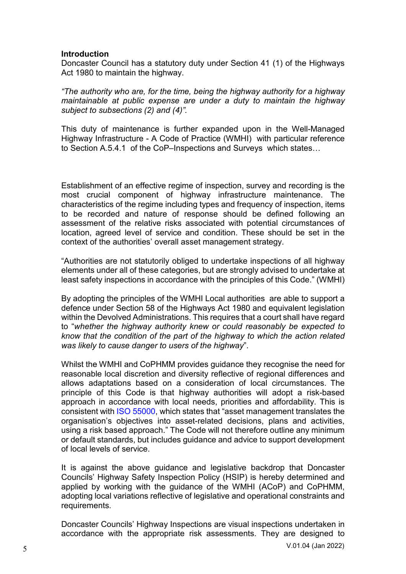#### **Introduction**

Doncaster Council has a statutory duty under Section 41 (1) of the Highways Act 1980 to maintain the highway.

*"The authority who are, for the time, being the highway authority for a highway maintainable at public expense are under a duty to maintain the highway subject to subsections (2) and (4)".*

This duty of maintenance is further expanded upon in the Well-Managed Highway Infrastructure - A Code of Practice (WMHI) with particular reference to Section A.5.4.1 of the CoP–Inspections and Surveys which states…

Establishment of an effective regime of inspection, survey and recording is the most crucial component of highway infrastructure maintenance. The characteristics of the regime including types and frequency of inspection, items to be recorded and nature of response should be defined following an assessment of the relative risks associated with potential circumstances of location, agreed level of service and condition. These should be set in the context of the authorities' overall asset management strategy.

"Authorities are not statutorily obliged to undertake inspections of all highway elements under all of these categories, but are strongly advised to undertake at least safety inspections in accordance with the principles of this Code." (WMHI)

By adopting the principles of the WMHI Local authorities are able to support a defence under Section 58 of the Highways Act 1980 and equivalent legislation within the Devolved Administrations. This requires that a court shall have regard to "*whether the highway authority knew or could reasonably be expected to know that the condition of the part of the highway to which the action related was likely to cause danger to users of the highway*".

Whilst the WMHI and CoPHMM provides guidance they recognise the need for reasonable local discretion and diversity reflective of regional differences and allows adaptations based on a consideration of local circumstances. The principle of this Code is that highway authorities will adopt a risk-based approach in accordance with local needs, priorities and affordability. This is consistent with ISO 55000, which states that "asset management translates the organisation's objectives into asset-related decisions, plans and activities, using a risk based approach." The Code will not therefore outline any minimum or default standards, but includes guidance and advice to support development of local levels of service.

It is against the above guidance and legislative backdrop that Doncaster Councils' Highway Safety Inspection Policy (HSIP) is hereby determined and applied by working with the guidance of the WMHI (ACoP) and CoPHMM, adopting local variations reflective of legislative and operational constraints and requirements.

Doncaster Councils' Highway Inspections are visual inspections undertaken in accordance with the appropriate risk assessments. They are designed to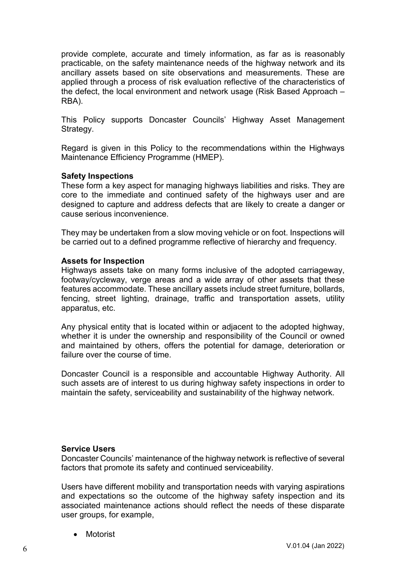provide complete, accurate and timely information, as far as is reasonably practicable, on the safety maintenance needs of the highway network and its ancillary assets based on site observations and measurements. These are applied through a process of risk evaluation reflective of the characteristics of the defect, the local environment and network usage (Risk Based Approach – RBA).

This Policy supports Doncaster Councils' Highway Asset Management Strategy.

Regard is given in this Policy to the recommendations within the Highways Maintenance Efficiency Programme (HMEP).

#### **Safety Inspections**

These form a key aspect for managing highways liabilities and risks. They are core to the immediate and continued safety of the highways user and are designed to capture and address defects that are likely to create a danger or cause serious inconvenience.

They may be undertaken from a slow moving vehicle or on foot. Inspections will be carried out to a defined programme reflective of hierarchy and frequency.

#### **Assets for Inspection**

Highways assets take on many forms inclusive of the adopted carriageway, footway/cycleway, verge areas and a wide array of other assets that these features accommodate. These ancillary assets include street furniture, bollards, fencing, street lighting, drainage, traffic and transportation assets, utility apparatus, etc.

Any physical entity that is located within or adjacent to the adopted highway, whether it is under the ownership and responsibility of the Council or owned and maintained by others, offers the potential for damage, deterioration or failure over the course of time.

Doncaster Council is a responsible and accountable Highway Authority. All such assets are of interest to us during highway safety inspections in order to maintain the safety, serviceability and sustainability of the highway network.

#### **Service Users**

Doncaster Councils' maintenance of the highway network is reflective of several factors that promote its safety and continued serviceability.

Users have different mobility and transportation needs with varying aspirations and expectations so the outcome of the highway safety inspection and its associated maintenance actions should reflect the needs of these disparate user groups, for example,

• Motorist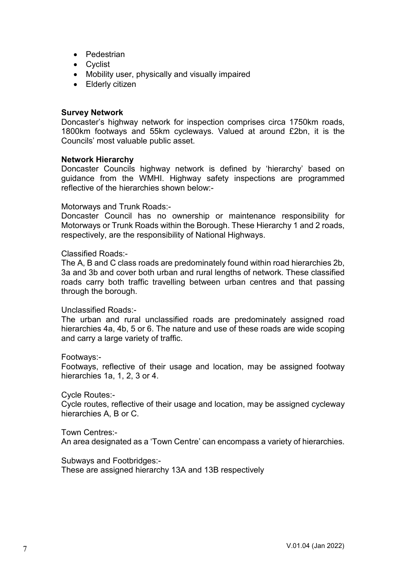- Pedestrian
- Cyclist
- Mobility user, physically and visually impaired
- Elderly citizen

#### **Survey Network**

Doncaster's highway network for inspection comprises circa 1750km roads, 1800km footways and 55km cycleways. Valued at around £2bn, it is the Councils' most valuable public asset.

#### **Network Hierarchy**

Doncaster Councils highway network is defined by 'hierarchy' based on guidance from the WMHI. Highway safety inspections are programmed reflective of the hierarchies shown below:-

#### Motorways and Trunk Roads:-

Doncaster Council has no ownership or maintenance responsibility for Motorways or Trunk Roads within the Borough. These Hierarchy 1 and 2 roads, respectively, are the responsibility of National Highways.

#### Classified Roads:-

The A, B and C class roads are predominately found within road hierarchies 2b, 3a and 3b and cover both urban and rural lengths of network. These classified roads carry both traffic travelling between urban centres and that passing through the borough.

#### Unclassified Roads:-

The urban and rural unclassified roads are predominately assigned road hierarchies 4a, 4b, 5 or 6. The nature and use of these roads are wide scoping and carry a large variety of traffic.

#### Footways:-

Footways, reflective of their usage and location, may be assigned footway hierarchies 1a, 1, 2, 3 or 4.

#### Cycle Routes:-

Cycle routes, reflective of their usage and location, may be assigned cycleway hierarchies A, B or C.

#### Town Centres:-

An area designated as a 'Town Centre' can encompass a variety of hierarchies.

Subways and Footbridges:-

These are assigned hierarchy 13A and 13B respectively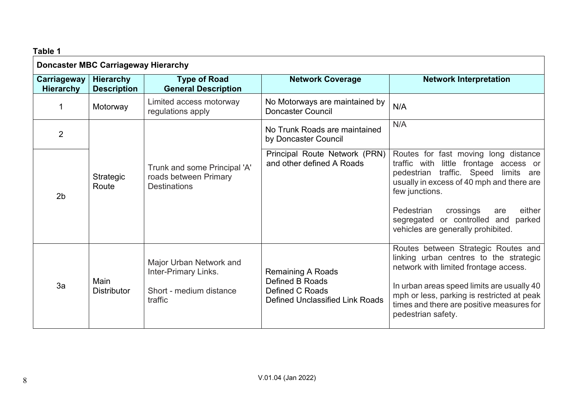| Table 1                                    |                                                                              |                                                            |                                                                                                                                                                                          |                                                                                                                                                             |
|--------------------------------------------|------------------------------------------------------------------------------|------------------------------------------------------------|------------------------------------------------------------------------------------------------------------------------------------------------------------------------------------------|-------------------------------------------------------------------------------------------------------------------------------------------------------------|
| <b>Doncaster MBC Carriageway Hierarchy</b> |                                                                              |                                                            |                                                                                                                                                                                          |                                                                                                                                                             |
| Carriageway<br><b>Hierarchy</b>            | <b>Hierarchy</b><br><b>Description</b>                                       | <b>Type of Road</b><br><b>General Description</b>          | <b>Network Coverage</b>                                                                                                                                                                  | <b>Network Interpretation</b>                                                                                                                               |
| 1                                          | Motorway                                                                     | Limited access motorway<br>regulations apply               | No Motorways are maintained by<br><b>Doncaster Council</b>                                                                                                                               | N/A                                                                                                                                                         |
| $\overline{2}$                             |                                                                              |                                                            | No Trunk Roads are maintained<br>by Doncaster Council                                                                                                                                    | N/A                                                                                                                                                         |
| Strategic<br>Route<br>2 <sub>b</sub>       | Trunk and some Principal 'A'<br>roads between Primary<br><b>Destinations</b> | Principal Route Network (PRN)<br>and other defined A Roads | Routes for fast moving long distance<br>traffic with little frontage access or<br>pedestrian traffic. Speed<br>limits are<br>usually in excess of 40 mph and there are<br>few junctions. |                                                                                                                                                             |
|                                            |                                                                              |                                                            |                                                                                                                                                                                          | Pedestrian<br>crossings<br>either<br>are<br>segregated<br>or controlled and<br>parked<br>vehicles are generally prohibited.                                 |
| 3a                                         | Inter-Primary Links.<br>Main<br><b>Distributor</b><br>traffic                | Major Urban Network and                                    | <b>Remaining A Roads</b>                                                                                                                                                                 | Routes between Strategic Routes and<br>linking urban centres to the strategic<br>network with limited frontage access.                                      |
|                                            |                                                                              | Short - medium distance                                    | Defined B Roads<br>Defined C Roads<br><b>Defined Unclassified Link Roads</b>                                                                                                             | In urban areas speed limits are usually 40<br>mph or less, parking is restricted at peak<br>times and there are positive measures for<br>pedestrian safety. |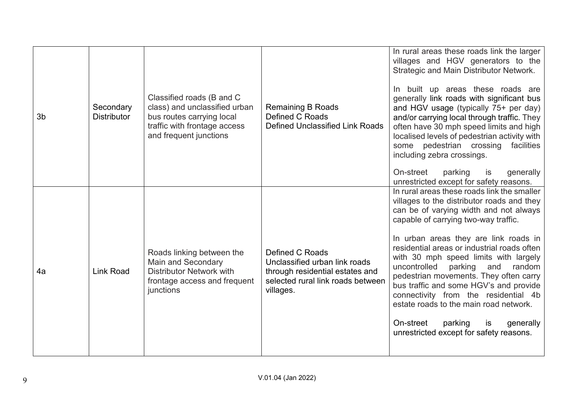| 3 <sub>b</sub> | Secondary<br><b>Distributor</b> | Classified roads (B and C<br>class) and unclassified urban<br>bus routes carrying local<br>traffic with frontage access<br>and frequent junctions | <b>Remaining B Roads</b><br>Defined C Roads<br>Defined Unclassified Link Roads                                                        | In rural areas these roads link the larger<br>villages and HGV generators to the<br>Strategic and Main Distributor Network.<br>In built up areas these roads are<br>generally link roads with significant bus<br>and HGV usage (typically 75+ per day)<br>and/or carrying local through traffic. They<br>often have 30 mph speed limits and high<br>localised levels of pedestrian activity with<br>some pedestrian crossing<br>facilities<br>including zebra crossings.<br>On-street<br>parking<br>is<br>generally<br>unrestricted except for safety reasons.                                                       |
|----------------|---------------------------------|---------------------------------------------------------------------------------------------------------------------------------------------------|---------------------------------------------------------------------------------------------------------------------------------------|----------------------------------------------------------------------------------------------------------------------------------------------------------------------------------------------------------------------------------------------------------------------------------------------------------------------------------------------------------------------------------------------------------------------------------------------------------------------------------------------------------------------------------------------------------------------------------------------------------------------|
| 4a             | <b>Link Road</b>                | Roads linking between the<br><b>Main and Secondary</b><br><b>Distributor Network with</b><br>frontage access and frequent<br>junctions            | Defined C Roads<br>Unclassified urban link roads<br>through residential estates and<br>selected rural link roads between<br>villages. | In rural areas these roads link the smaller<br>villages to the distributor roads and they<br>can be of varying width and not always<br>capable of carrying two-way traffic.<br>In urban areas they are link roads in<br>residential areas or industrial roads often<br>with 30 mph speed limits with largely<br>uncontrolled<br>parking<br>and<br>random<br>pedestrian movements. They often carry<br>bus traffic and some HGV's and provide<br>connectivity from the residential 4b<br>estate roads to the main road network.<br>On-street<br>parking<br>generally<br>is<br>unrestricted except for safety reasons. |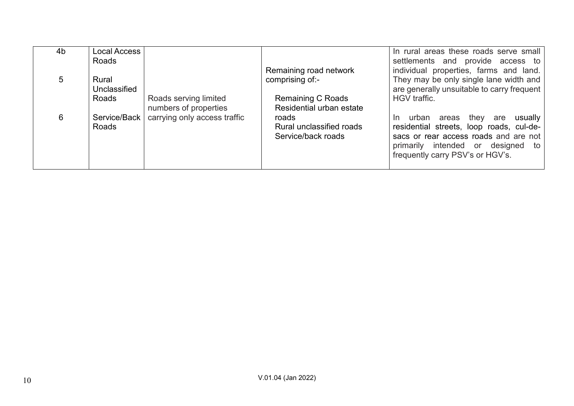| 4b | Local Access<br>Roads |                              |                          | In rural areas these roads serve small<br>settlements and provide access to |
|----|-----------------------|------------------------------|--------------------------|-----------------------------------------------------------------------------|
|    |                       |                              | Remaining road network   | individual properties, farms and land.                                      |
| 5. | Rural                 |                              | comprising of:-          | They may be only single lane width and                                      |
|    | Unclassified          |                              |                          | are generally unsuitable to carry frequent                                  |
|    | Roads                 | Roads serving limited        | <b>Remaining C Roads</b> | HGV traffic.                                                                |
|    |                       | numbers of properties        | Residential urban estate |                                                                             |
| 6  | Service/Back          | carrying only access traffic | roads                    | usually<br>they are<br>urban areas<br>In.                                   |
|    | Roads                 |                              | Rural unclassified roads | residential streets, loop roads, cul-de-                                    |
|    |                       |                              | Service/back roads       | sacs or rear access roads and are not                                       |
|    |                       |                              |                          | primarily intended or designed to                                           |
|    |                       |                              |                          | frequently carry PSV's or HGV's.                                            |
|    |                       |                              |                          |                                                                             |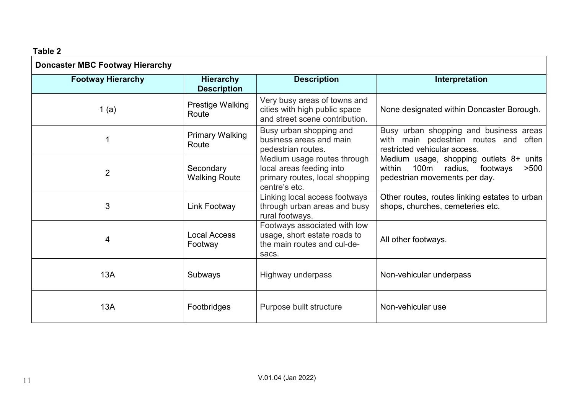# **Table 2**

| <b>Doncaster MBC Footway Hierarchy</b> |                                        |                                                                                                            |                                                                                                                        |
|----------------------------------------|----------------------------------------|------------------------------------------------------------------------------------------------------------|------------------------------------------------------------------------------------------------------------------------|
| <b>Footway Hierarchy</b>               | <b>Hierarchy</b><br><b>Description</b> | <b>Description</b>                                                                                         | Interpretation                                                                                                         |
| 1 (a)                                  | Prestige Walking<br>Route              | Very busy areas of towns and<br>cities with high public space<br>and street scene contribution.            | None designated within Doncaster Borough.                                                                              |
|                                        | <b>Primary Walking</b><br>Route        | Busy urban shopping and<br>business areas and main<br>pedestrian routes.                                   | Busy urban shopping and business areas<br>with main pedestrian routes and often<br>restricted vehicular access.        |
| $\overline{2}$                         | Secondary<br><b>Walking Route</b>      | Medium usage routes through<br>local areas feeding into<br>primary routes, local shopping<br>centre's etc. | Medium usage, shopping outlets 8+ units<br>within<br>100m radius,<br>footways<br>>500<br>pedestrian movements per day. |
| 3                                      | <b>Link Footway</b>                    | Linking local access footways<br>through urban areas and busy<br>rural footways.                           | Other routes, routes linking estates to urban<br>shops, churches, cemeteries etc.                                      |
| 4                                      | <b>Local Access</b><br>Footway         | Footways associated with low<br>usage, short estate roads to<br>the main routes and cul-de-<br>sacs.       | All other footways.                                                                                                    |
| 13A                                    | Subways                                | Highway underpass                                                                                          | Non-vehicular underpass                                                                                                |
| 13A                                    | Footbridges                            | Purpose built structure                                                                                    | Non-vehicular use                                                                                                      |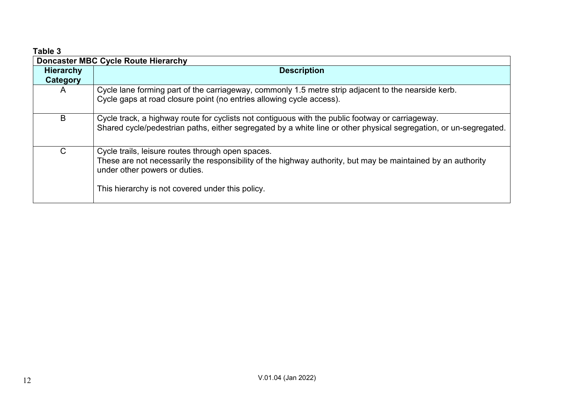| Table 3                      |                                                                                                                                                                                                                                                        |
|------------------------------|--------------------------------------------------------------------------------------------------------------------------------------------------------------------------------------------------------------------------------------------------------|
|                              | <b>Doncaster MBC Cycle Route Hierarchy</b>                                                                                                                                                                                                             |
| <b>Hierarchy</b><br>Category | <b>Description</b>                                                                                                                                                                                                                                     |
| A                            | Cycle lane forming part of the carriageway, commonly 1.5 metre strip adjacent to the nearside kerb.<br>Cycle gaps at road closure point (no entries allowing cycle access).                                                                            |
| B                            | Cycle track, a highway route for cyclists not contiguous with the public footway or carriageway.<br>Shared cycle/pedestrian paths, either segregated by a white line or other physical segregation, or un-segregated.                                  |
| C                            | Cycle trails, leisure routes through open spaces.<br>These are not necessarily the responsibility of the highway authority, but may be maintained by an authority<br>under other powers or duties.<br>This hierarchy is not covered under this policy. |

# V.01.04 (Jan 2022) 12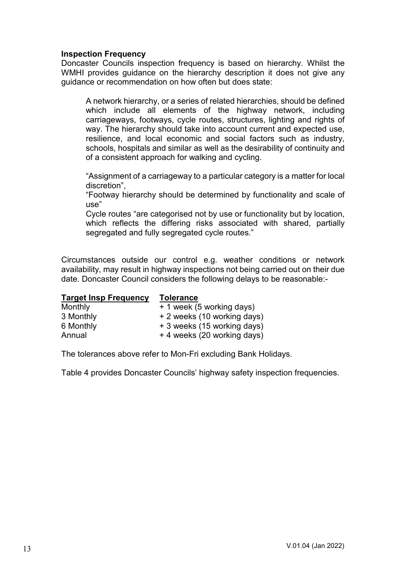#### **Inspection Frequency**

Doncaster Councils inspection frequency is based on hierarchy. Whilst the WMHI provides guidance on the hierarchy description it does not give any guidance or recommendation on how often but does state:

A network hierarchy, or a series of related hierarchies, should be defined which include all elements of the highway network, including carriageways, footways, cycle routes, structures, lighting and rights of way. The hierarchy should take into account current and expected use, resilience, and local economic and social factors such as industry, schools, hospitals and similar as well as the desirability of continuity and of a consistent approach for walking and cycling.

"Assignment of a carriageway to a particular category is a matter for local discretion",

"Footway hierarchy should be determined by functionality and scale of use"

Cycle routes "are categorised not by use or functionality but by location, which reflects the differing risks associated with shared, partially segregated and fully segregated cycle routes."

Circumstances outside our control e.g. weather conditions or network availability, may result in highway inspections not being carried out on their due date. Doncaster Council considers the following delays to be reasonable:-

| <b>Tolerance</b>            |
|-----------------------------|
| + 1 week (5 working days)   |
| + 2 weeks (10 working days) |
| + 3 weeks (15 working days) |
| + 4 weeks (20 working days) |
|                             |

The tolerances above refer to Mon-Fri excluding Bank Holidays.

Table 4 provides Doncaster Councils' highway safety inspection frequencies.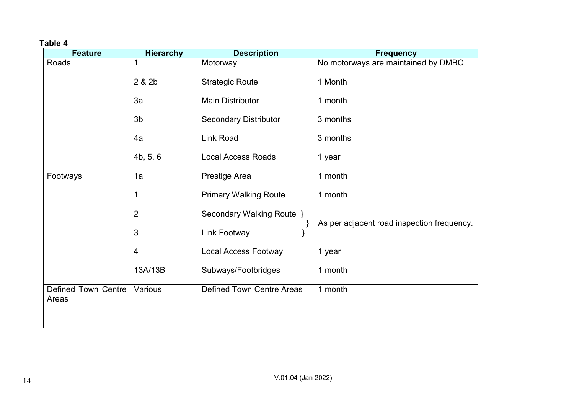# **Table 4**

| <b>Feature</b>               | <b>Hierarchy</b> | <b>Description</b>               | <b>Frequency</b>                           |
|------------------------------|------------------|----------------------------------|--------------------------------------------|
| Roads                        | 1                | Motorway                         | No motorways are maintained by DMBC        |
|                              | 2 & 2b           | <b>Strategic Route</b>           | 1 Month                                    |
|                              | 3a               | <b>Main Distributor</b>          | 1 month                                    |
|                              | 3 <sub>b</sub>   | <b>Secondary Distributor</b>     | 3 months                                   |
|                              | 4a               | Link Road                        | 3 months                                   |
|                              | 4b, 5, 6         | <b>Local Access Roads</b>        | 1 year                                     |
| Footways                     | 1a               | Prestige Area                    | 1 month                                    |
|                              | 1                | <b>Primary Walking Route</b>     | 1 month                                    |
|                              | $\overline{2}$   | Secondary Walking Route }        | As per adjacent road inspection frequency. |
|                              | 3                | Link Footway                     |                                            |
|                              | 4                | <b>Local Access Footway</b>      | 1 year                                     |
|                              | 13A/13B          | Subways/Footbridges              | 1 month                                    |
| Defined Town Centre<br>Areas | Various          | <b>Defined Town Centre Areas</b> | 1 month                                    |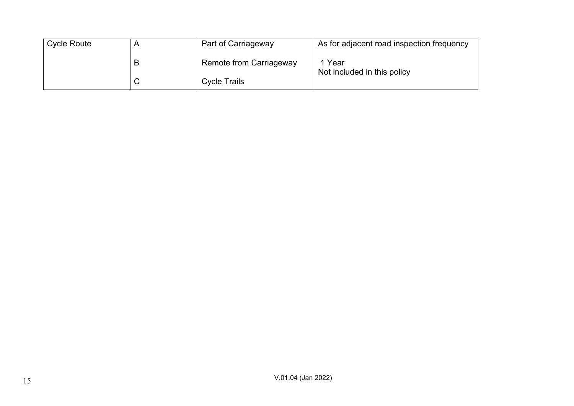| <b>Cycle Route</b> |   | Part of Carriageway     | As for adjacent road inspection frequency |
|--------------------|---|-------------------------|-------------------------------------------|
|                    | B | Remote from Carriageway | Year<br>Not included in this policy       |
|                    |   | <b>Cycle Trails</b>     |                                           |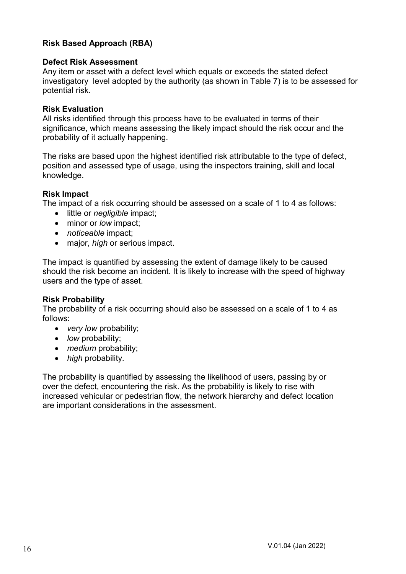# **Risk Based Approach (RBA)**

### **Defect Risk Assessment**

Any item or asset with a defect level which equals or exceeds the stated defect investigatory level adopted by the authority (as shown in Table 7) is to be assessed for potential risk.

## **Risk Evaluation**

All risks identified through this process have to be evaluated in terms of their significance, which means assessing the likely impact should the risk occur and the probability of it actually happening.

The risks are based upon the highest identified risk attributable to the type of defect, position and assessed type of usage, using the inspectors training, skill and local knowledge.

## **Risk Impact**

The impact of a risk occurring should be assessed on a scale of 1 to 4 as follows:

- little or *negligible* impact;
- minor or *low* impact;
- *noticeable* impact;
- major, *high* or serious impact.

The impact is quantified by assessing the extent of damage likely to be caused should the risk become an incident. It is likely to increase with the speed of highway users and the type of asset.

#### **Risk Probability**

The probability of a risk occurring should also be assessed on a scale of 1 to 4 as follows:

- *very low* probability;
- *low* probability;
- *medium* probability;
- *high* probability.

The probability is quantified by assessing the likelihood of users, passing by or over the defect, encountering the risk. As the probability is likely to rise with increased vehicular or pedestrian flow, the network hierarchy and defect location are important considerations in the assessment.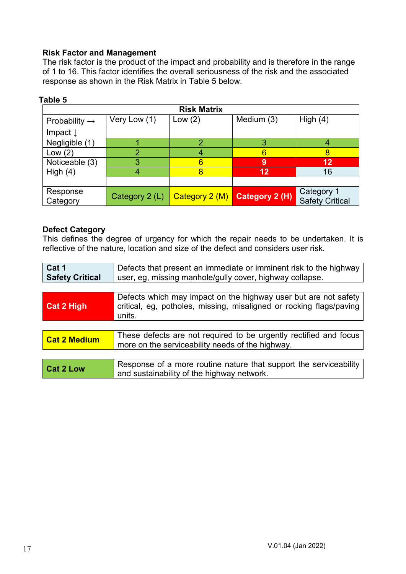# **Risk Factor and Management**

The risk factor is the product of the impact and probability and is therefore in the range of 1 to 16. This factor identifies the overall seriousness of the risk and the associated response as shown in the Risk Matrix in Table 5 below.

|                           |                | <b>Risk Matrix</b> |                                |                                      |
|---------------------------|----------------|--------------------|--------------------------------|--------------------------------------|
| Probability $\rightarrow$ | Very Low (1)   | Low $(2)$          | Medium (3)                     | High $(4)$                           |
| Impact $\downarrow$       |                |                    |                                |                                      |
| Negligible (1)            |                | 2                  | 3                              |                                      |
| Low $(2)$                 | 2              |                    | 6                              |                                      |
| Noticeable (3)            | 3              | 6                  | 9                              | 12                                   |
| High $(4)$                |                |                    | 12                             | 16                                   |
|                           |                |                    |                                |                                      |
| Response<br>Category      | Category 2 (L) |                    | Category $2(M)$ Category 2 (H) | Category 1<br><b>Safety Critical</b> |

#### **Table 5**

#### **Defect Category**

This defines the degree of urgency for which the repair needs to be undertaken. It is reflective of the nature, location and size of the defect and considers user risk.

| Cat 1                  | Defects that present an immediate or imminent risk to the highway                                                                                |  |  |
|------------------------|--------------------------------------------------------------------------------------------------------------------------------------------------|--|--|
| <b>Safety Critical</b> | user, eg, missing manhole/gully cover, highway collapse.                                                                                         |  |  |
|                        |                                                                                                                                                  |  |  |
| <b>Cat 2 High</b>      | Defects which may impact on the highway user but are not safety<br>critical, eg, potholes, missing, misaligned or rocking flags/paving<br>units. |  |  |
|                        |                                                                                                                                                  |  |  |
| <b>Cat 2 Medium</b>    | These defects are not required to be urgently rectified and focus<br>more on the serviceability needs of the highway.                            |  |  |
|                        |                                                                                                                                                  |  |  |
| <b>Cat 2 Low</b>       | Response of a more routine nature that support the serviceability<br>and sustainability of the highway network.                                  |  |  |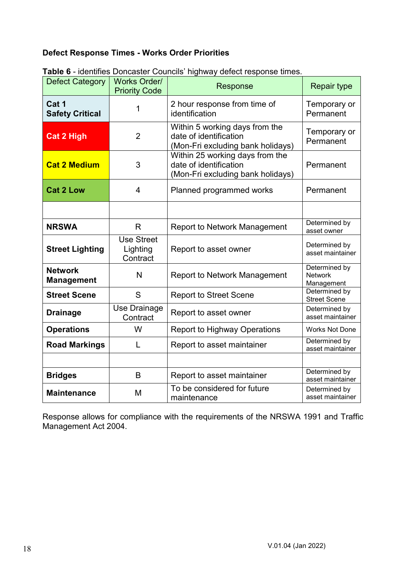# **Defect Response Times - Works Order Priorities**

| <b>Defect Category</b>              | <b>Works Order/</b><br><b>Priority Code</b> | Response                                                                                       | <b>Repair type</b>                            |
|-------------------------------------|---------------------------------------------|------------------------------------------------------------------------------------------------|-----------------------------------------------|
| Cat 1<br><b>Safety Critical</b>     | 1                                           | 2 hour response from time of<br>identification                                                 | Temporary or<br>Permanent                     |
| <b>Cat 2 High</b>                   | $\overline{2}$                              | Within 5 working days from the<br>date of identification<br>(Mon-Fri excluding bank holidays)  | Temporary or<br>Permanent                     |
| <b>Cat 2 Medium</b>                 | 3                                           | Within 25 working days from the<br>date of identification<br>(Mon-Fri excluding bank holidays) | Permanent                                     |
| <b>Cat 2 Low</b>                    | $\overline{4}$                              | Planned programmed works                                                                       | Permanent                                     |
|                                     |                                             |                                                                                                |                                               |
| <b>NRSWA</b>                        | R                                           | <b>Report to Network Management</b>                                                            | Determined by<br>asset owner                  |
| <b>Street Lighting</b>              | <b>Use Street</b><br>Lighting<br>Contract   | Report to asset owner                                                                          | Determined by<br>asset maintainer             |
| <b>Network</b><br><b>Management</b> | N                                           | <b>Report to Network Management</b>                                                            | Determined by<br><b>Network</b><br>Management |
| <b>Street Scene</b>                 | S                                           | <b>Report to Street Scene</b>                                                                  | Determined by<br><b>Street Scene</b>          |
| <b>Drainage</b>                     | Use Drainage<br>Contract                    | Report to asset owner                                                                          | Determined by<br>asset maintainer             |
| <b>Operations</b>                   | W                                           | <b>Report to Highway Operations</b>                                                            | <b>Works Not Done</b>                         |
| <b>Road Markings</b>                | L                                           | Report to asset maintainer                                                                     | Determined by<br>asset maintainer             |
|                                     |                                             |                                                                                                |                                               |
| <b>Bridges</b>                      | B                                           | Report to asset maintainer                                                                     | Determined by<br>asset maintainer             |
| <b>Maintenance</b>                  | M                                           | To be considered for future<br>maintenance                                                     | Determined by<br>asset maintainer             |

**Table 6** - identifies Doncaster Councils' highway defect response times.

Response allows for compliance with the requirements of the NRSWA 1991 and Traffic Management Act 2004.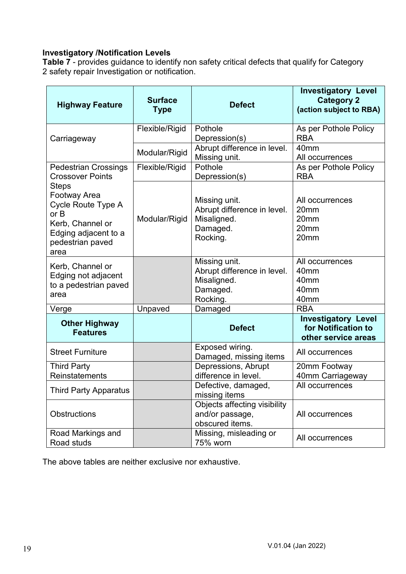# **Investigatory /Notification Levels**

**Table 7** - provides guidance to identify non safety critical defects that qualify for Category 2 safety repair Investigation or notification.

| <b>Highway Feature</b>                                                                                                                    | <b>Surface</b><br><b>Type</b> | <b>Defect</b>                                                                       | <b>Investigatory Level</b><br><b>Category 2</b><br>(action subject to RBA) |
|-------------------------------------------------------------------------------------------------------------------------------------------|-------------------------------|-------------------------------------------------------------------------------------|----------------------------------------------------------------------------|
| Carriageway                                                                                                                               | Flexible/Rigid                | Pothole<br>Depression(s)                                                            | As per Pothole Policy<br><b>RBA</b>                                        |
|                                                                                                                                           | Modular/Rigid                 | Abrupt difference in level.<br>Missing unit.                                        | 40 <sub>mm</sub><br>All occurrences                                        |
| <b>Pedestrian Crossings</b><br><b>Crossover Points</b>                                                                                    | Flexible/Rigid                | Pothole<br>Depression(s)                                                            | As per Pothole Policy<br><b>RBA</b>                                        |
| <b>Steps</b><br><b>Footway Area</b><br>Cycle Route Type A<br>or B<br>Kerb, Channel or<br>Edging adjacent to a<br>pedestrian paved<br>area | Modular/Rigid                 | Missing unit.<br>Abrupt difference in level.<br>Misaligned.<br>Damaged.<br>Rocking. | All occurrences<br>20mm<br>20mm<br>20 <sub>mm</sub><br>20mm                |
| Kerb, Channel or<br>Edging not adjacent<br>to a pedestrian paved<br>area                                                                  |                               | Missing unit.<br>Abrupt difference in level.<br>Misaligned.<br>Damaged.<br>Rocking. | All occurrences<br>40 <sub>mm</sub><br>40mm<br>40 <sub>mm</sub><br>40mm    |
| Verge                                                                                                                                     | Unpaved                       | Damaged                                                                             | <b>RBA</b>                                                                 |
| <b>Other Highway</b><br><b>Features</b>                                                                                                   |                               | <b>Defect</b>                                                                       | <b>Investigatory Level</b><br>for Notification to<br>other service areas   |
| <b>Street Furniture</b>                                                                                                                   |                               | Exposed wiring.<br>Damaged, missing items                                           | All occurrences                                                            |
| <b>Third Party</b><br>Reinstatements                                                                                                      |                               | Depressions, Abrupt<br>difference in level.                                         | 20mm Footway<br>40mm Carriageway                                           |
| <b>Third Party Apparatus</b>                                                                                                              |                               | Defective, damaged,<br>missing items                                                | All occurrences                                                            |
| <b>Obstructions</b>                                                                                                                       |                               | Objects affecting visibility<br>and/or passage,<br>obscured items.                  | All occurrences                                                            |
| Road Markings and<br>Road studs                                                                                                           |                               | Missing, misleading or<br>75% worn                                                  | All occurrences                                                            |

The above tables are neither exclusive nor exhaustive.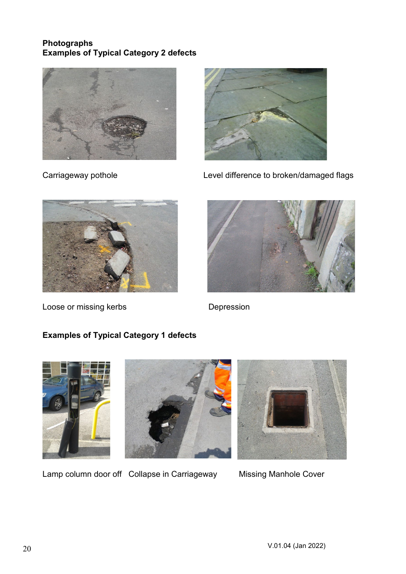# **Photographs Examples of Typical Category 2 defects**





Carriageway pothole Level difference to broken/damaged flags



Loose or missing kerbs **Depression** 



# **Examples of Typical Category 1 defects**





Lamp column door off Collapse in Carriageway Missing Manhole Cover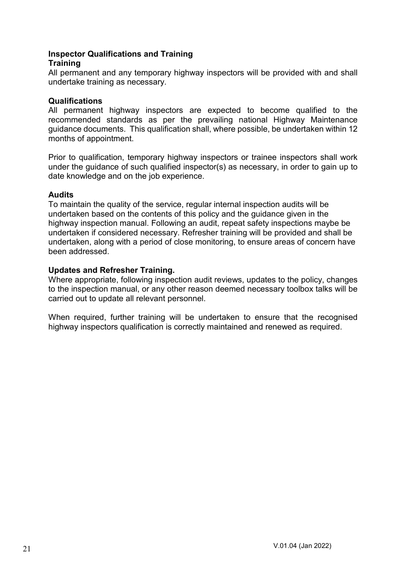## **Inspector Qualifications and Training Training**

All permanent and any temporary highway inspectors will be provided with and shall undertake training as necessary.

# **Qualifications**

All permanent highway inspectors are expected to become qualified to the recommended standards as per the prevailing national Highway Maintenance guidance documents. This qualification shall, where possible, be undertaken within 12 months of appointment.

Prior to qualification, temporary highway inspectors or trainee inspectors shall work under the guidance of such qualified inspector(s) as necessary, in order to gain up to date knowledge and on the job experience.

# **Audits**

To maintain the quality of the service, regular internal inspection audits will be undertaken based on the contents of this policy and the guidance given in the highway inspection manual. Following an audit, repeat safety inspections maybe be undertaken if considered necessary. Refresher training will be provided and shall be undertaken, along with a period of close monitoring, to ensure areas of concern have been addressed.

# **Updates and Refresher Training.**

Where appropriate, following inspection audit reviews, updates to the policy, changes to the inspection manual, or any other reason deemed necessary toolbox talks will be carried out to update all relevant personnel.

When required, further training will be undertaken to ensure that the recognised highway inspectors qualification is correctly maintained and renewed as required.